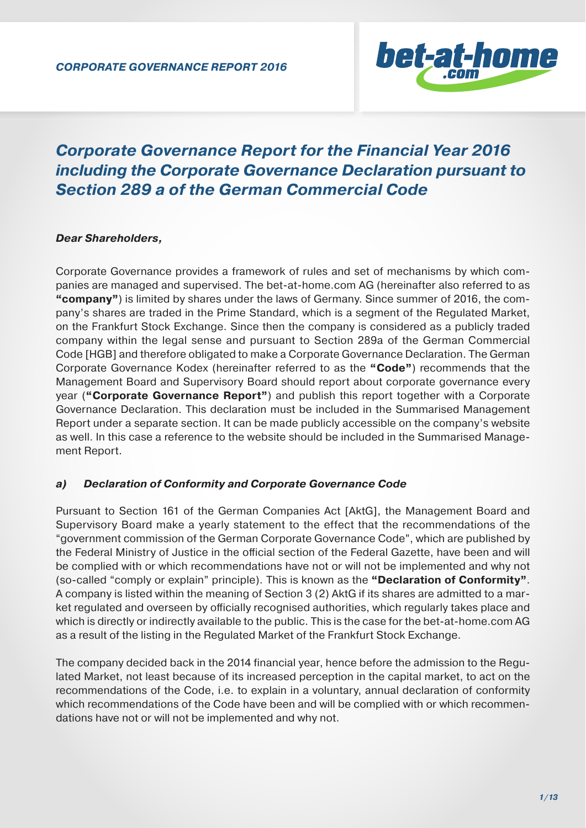

# *Corporate Governance Report for the Financial Year 2016 including the Corporate Governance Declaration pursuant to Section 289 a of the German Commercial Code*

# *Dear Shareholders,*

Corporate Governance provides a framework of rules and set of mechanisms by which companies are managed and supervised. The bet-at-home.com AG (hereinafter also referred to as **"company"**) is limited by shares under the laws of Germany. Since summer of 2016, the company's shares are traded in the Prime Standard, which is a segment of the Regulated Market, on the Frankfurt Stock Exchange. Since then the company is considered as a publicly traded company within the legal sense and pursuant to Section 289a of the German Commercial Code [HGB] and therefore obligated to make a Corporate Governance Declaration. The German Corporate Governance Kodex (hereinafter referred to as the **"Code"**) recommends that the Management Board and Supervisory Board should report about corporate governance every year (**"Corporate Governance Report"**) and publish this report together with a Corporate Governance Declaration. This declaration must be included in the Summarised Management Report under a separate section. It can be made publicly accessible on the company's website as well. In this case a reference to the website should be included in the Summarised Management Report.

#### *a) Declaration of Conformity and Corporate Governance Code*

Pursuant to Section 161 of the German Companies Act [AktG], the Management Board and Supervisory Board make a yearly statement to the effect that the recommendations of the "government commission of the German Corporate Governance Code", which are published by the Federal Ministry of Justice in the official section of the Federal Gazette, have been and will be complied with or which recommendations have not or will not be implemented and why not (so-called "comply or explain" principle). This is known as the **"Declaration of Conformity"**. A company is listed within the meaning of Section 3 (2) AktG if its shares are admitted to a market regulated and overseen by officially recognised authorities, which regularly takes place and which is directly or indirectly available to the public. This is the case for the bet-at-home.com AG as a result of the listing in the Regulated Market of the Frankfurt Stock Exchange.

The company decided back in the 2014 financial year, hence before the admission to the Regulated Market, not least because of its increased perception in the capital market, to act on the recommendations of the Code, i.e. to explain in a voluntary, annual declaration of conformity which recommendations of the Code have been and will be complied with or which recommendations have not or will not be implemented and why not.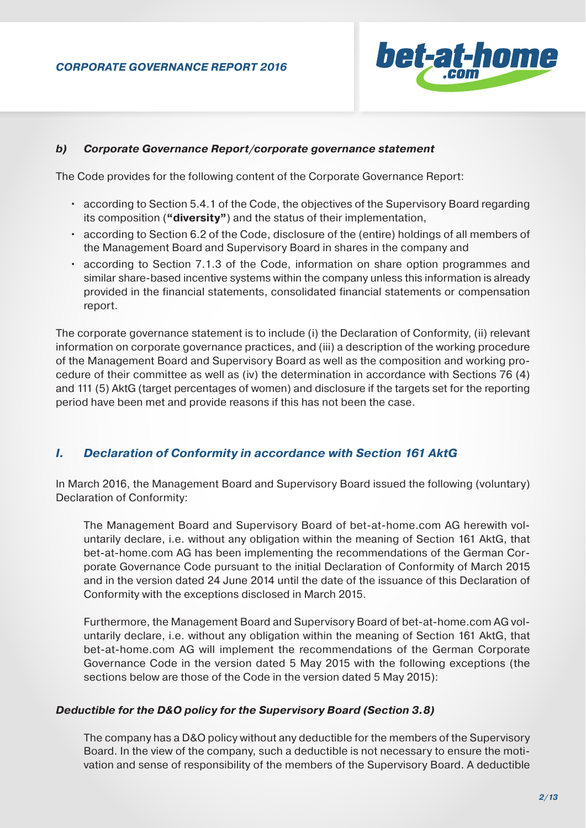

#### *b) Corporate Governance Report/corporate governance statement*

The Code provides for the following content of the Corporate Governance Report:

- according to Section 5.4.1 of the Code, the objectives of the Supervisory Board regarding its composition (**"diversity"**) and the status of their implementation,
- according to Section 6.2 of the Code, disclosure of the (entire) holdings of all members of the Management Board and Supervisory Board in shares in the company and
- according to Section 7.1.3 of the Code, information on share option programmes and similar share-based incentive systems within the company unless this information is already provided in the financial statements, consolidated financial statements or compensation report.

The corporate governance statement is to include (i) the Declaration of Conformity, (ii) relevant information on corporate governance practices, and (iii) a description of the working procedure of the Management Board and Supervisory Board as well as the composition and working procedure of their committee as well as (iv) the determination in accordance with Sections 76 (4) and 111 (5) AktG (target percentages of women) and disclosure if the targets set for the reporting period have been met and provide reasons if this has not been the case.

# *I. Declaration of Conformity in accordance with Section 161 AktG*

In March 2016, the Management Board and Supervisory Board issued the following (voluntary) Declaration of Conformity:

The Management Board and Supervisory Board of bet-at-home.com AG herewith voluntarily declare, i.e. without any obligation within the meaning of Section 161 AktG, that bet-at-home.com AG has been implementing the recommendations of the German Corporate Governance Code pursuant to the initial Declaration of Conformity of March 2015 and in the version dated 24 June 2014 until the date of the issuance of this Declaration of Conformity with the exceptions disclosed in March 2015.

Furthermore, the Management Board and Supervisory Board of bet-at-home.com AG voluntarily declare, i.e. without any obligation within the meaning of Section 161 AktG, that bet-at-home.com AG will implement the recommendations of the German Corporate Governance Code in the version dated 5 May 2015 with the following exceptions (the sections below are those of the Code in the version dated 5 May 2015):

# *Deductible for the D&O policy for the Supervisory Board (Section 3.8)*

The company has a D&O policy without any deductible for the members of the Supervisory Board. In the view of the company, such a deductible is not necessary to ensure the motivation and sense of responsibility of the members of the Supervisory Board. A deductible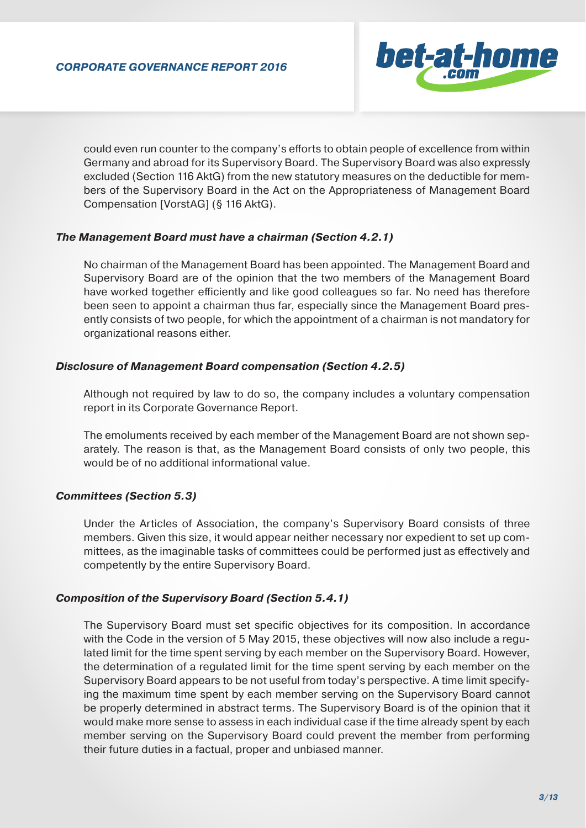

could even run counter to the company's efforts to obtain people of excellence from within Germany and abroad for its Supervisory Board. The Supervisory Board was also expressly excluded (Section 116 AktG) from the new statutory measures on the deductible for members of the Supervisory Board in the Act on the Appropriateness of Management Board Compensation [VorstAG] (§ 116 AktG).

#### *The Management Board must have a chairman (Section 4.2.1)*

No chairman of the Management Board has been appointed. The Management Board and Supervisory Board are of the opinion that the two members of the Management Board have worked together efficiently and like good colleagues so far. No need has therefore been seen to appoint a chairman thus far, especially since the Management Board presently consists of two people, for which the appointment of a chairman is not mandatory for organizational reasons either.

#### *Disclosure of Management Board compensation (Section 4.2.5)*

Although not required by law to do so, the company includes a voluntary compensation report in its Corporate Governance Report.

The emoluments received by each member of the Management Board are not shown separately. The reason is that, as the Management Board consists of only two people, this would be of no additional informational value.

# *Committees (Section 5.3)*

Under the Articles of Association, the company's Supervisory Board consists of three members. Given this size, it would appear neither necessary nor expedient to set up committees, as the imaginable tasks of committees could be performed just as effectively and competently by the entire Supervisory Board.

#### *Composition of the Supervisory Board (Section 5.4.1)*

The Supervisory Board must set specific objectives for its composition. In accordance with the Code in the version of 5 May 2015, these objectives will now also include a regulated limit for the time spent serving by each member on the Supervisory Board. However, the determination of a regulated limit for the time spent serving by each member on the Supervisory Board appears to be not useful from today's perspective. A time limit specifying the maximum time spent by each member serving on the Supervisory Board cannot be properly determined in abstract terms. The Supervisory Board is of the opinion that it would make more sense to assess in each individual case if the time already spent by each member serving on the Supervisory Board could prevent the member from performing their future duties in a factual, proper and unbiased manner.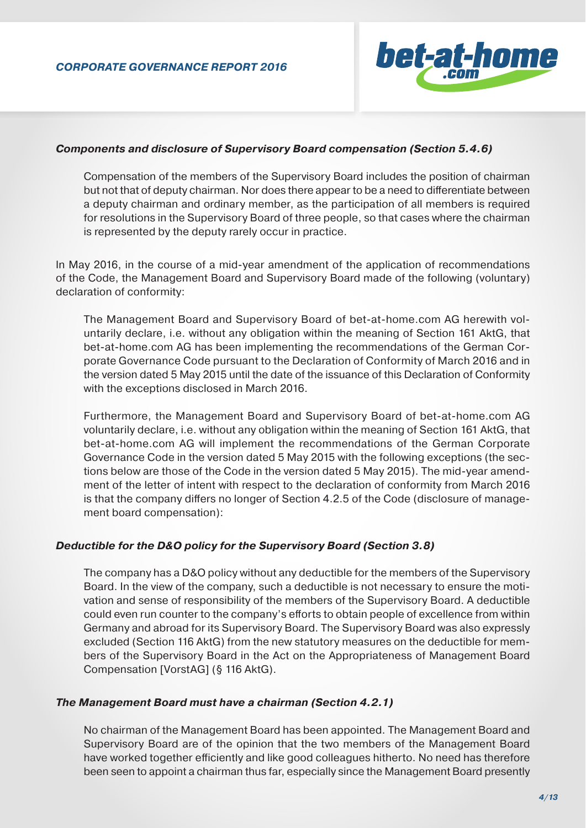

#### *Components and disclosure of Supervisory Board compensation (Section 5.4.6)*

Compensation of the members of the Supervisory Board includes the position of chairman but not that of deputy chairman. Nor does there appear to be a need to differentiate between a deputy chairman and ordinary member, as the participation of all members is required for resolutions in the Supervisory Board of three people, so that cases where the chairman is represented by the deputy rarely occur in practice.

In May 2016, in the course of a mid-year amendment of the application of recommendations of the Code, the Management Board and Supervisory Board made of the following (voluntary) declaration of conformity:

The Management Board and Supervisory Board of bet-at-home.com AG herewith voluntarily declare, i.e. without any obligation within the meaning of Section 161 AktG, that bet-at-home.com AG has been implementing the recommendations of the German Corporate Governance Code pursuant to the Declaration of Conformity of March 2016 and in the version dated 5 May 2015 until the date of the issuance of this Declaration of Conformity with the exceptions disclosed in March 2016.

Furthermore, the Management Board and Supervisory Board of bet-at-home.com AG voluntarily declare, i.e. without any obligation within the meaning of Section 161 AktG, that bet-at-home.com AG will implement the recommendations of the German Corporate Governance Code in the version dated 5 May 2015 with the following exceptions (the sections below are those of the Code in the version dated 5 May 2015). The mid-year amendment of the letter of intent with respect to the declaration of conformity from March 2016 is that the company differs no longer of Section 4.2.5 of the Code (disclosure of management board compensation):

#### *Deductible for the D&O policy for the Supervisory Board (Section 3.8)*

The company has a D&O policy without any deductible for the members of the Supervisory Board. In the view of the company, such a deductible is not necessary to ensure the motivation and sense of responsibility of the members of the Supervisory Board. A deductible could even run counter to the company's efforts to obtain people of excellence from within Germany and abroad for its Supervisory Board. The Supervisory Board was also expressly excluded (Section 116 AktG) from the new statutory measures on the deductible for members of the Supervisory Board in the Act on the Appropriateness of Management Board Compensation [VorstAG] (§ 116 AktG).

#### *The Management Board must have a chairman (Section 4.2.1)*

No chairman of the Management Board has been appointed. The Management Board and Supervisory Board are of the opinion that the two members of the Management Board have worked together efficiently and like good colleagues hitherto. No need has therefore been seen to appoint a chairman thus far, especially since the Management Board presently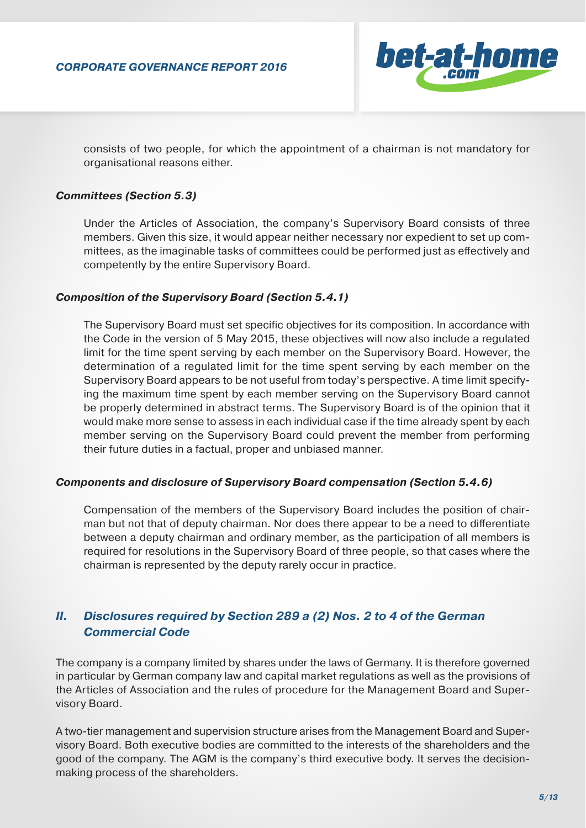

consists of two people, for which the appointment of a chairman is not mandatory for organisational reasons either.

#### *Committees (Section 5.3)*

Under the Articles of Association, the company's Supervisory Board consists of three members. Given this size, it would appear neither necessary nor expedient to set up committees, as the imaginable tasks of committees could be performed just as effectively and competently by the entire Supervisory Board.

#### *Composition of the Supervisory Board (Section 5.4.1)*

The Supervisory Board must set specific objectives for its composition. In accordance with the Code in the version of 5 May 2015, these objectives will now also include a regulated limit for the time spent serving by each member on the Supervisory Board. However, the determination of a regulated limit for the time spent serving by each member on the Supervisory Board appears to be not useful from today's perspective. A time limit specifying the maximum time spent by each member serving on the Supervisory Board cannot be properly determined in abstract terms. The Supervisory Board is of the opinion that it would make more sense to assess in each individual case if the time already spent by each member serving on the Supervisory Board could prevent the member from performing their future duties in a factual, proper and unbiased manner.

#### *Components and disclosure of Supervisory Board compensation (Section 5.4.6)*

Compensation of the members of the Supervisory Board includes the position of chairman but not that of deputy chairman. Nor does there appear to be a need to differentiate between a deputy chairman and ordinary member, as the participation of all members is required for resolutions in the Supervisory Board of three people, so that cases where the chairman is represented by the deputy rarely occur in practice.

# *II. Disclosures required by Section 289 a (2) Nos. 2 to 4 of the German Commercial Code*

The company is a company limited by shares under the laws of Germany. It is therefore governed in particular by German company law and capital market regulations as well as the provisions of the Articles of Association and the rules of procedure for the Management Board and Supervisory Board.

A two-tier management and supervision structure arises from the Management Board and Supervisory Board. Both executive bodies are committed to the interests of the shareholders and the good of the company. The AGM is the company's third executive body. It serves the decisionmaking process of the shareholders.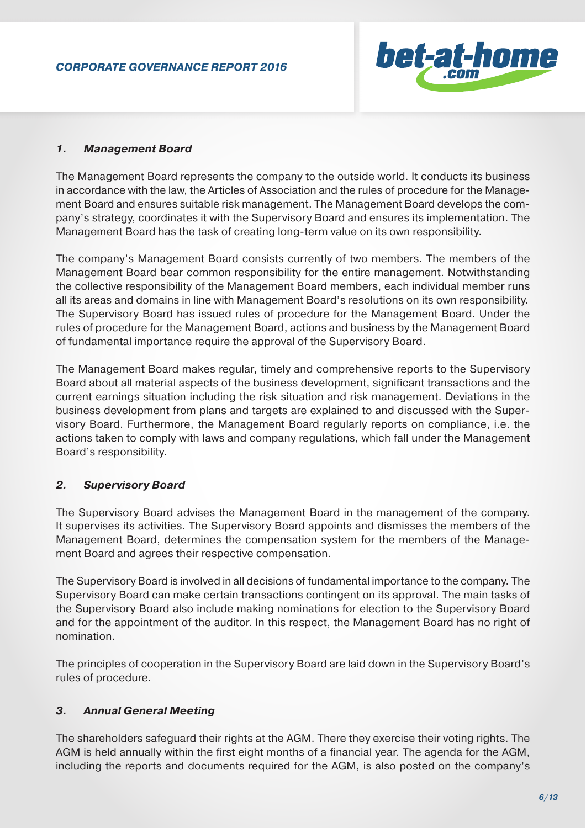

# *1. Management Board*

The Management Board represents the company to the outside world. It conducts its business in accordance with the law, the Articles of Association and the rules of procedure for the Management Board and ensures suitable risk management. The Management Board develops the company's strategy, coordinates it with the Supervisory Board and ensures its implementation. The Management Board has the task of creating long-term value on its own responsibility.

The company's Management Board consists currently of two members. The members of the Management Board bear common responsibility for the entire management. Notwithstanding the collective responsibility of the Management Board members, each individual member runs all its areas and domains in line with Management Board's resolutions on its own responsibility. The Supervisory Board has issued rules of procedure for the Management Board. Under the rules of procedure for the Management Board, actions and business by the Management Board of fundamental importance require the approval of the Supervisory Board.

The Management Board makes regular, timely and comprehensive reports to the Supervisory Board about all material aspects of the business development, significant transactions and the current earnings situation including the risk situation and risk management. Deviations in the business development from plans and targets are explained to and discussed with the Supervisory Board. Furthermore, the Management Board regularly reports on compliance, i.e. the actions taken to comply with laws and company regulations, which fall under the Management Board's responsibility.

# *2. Supervisory Board*

The Supervisory Board advises the Management Board in the management of the company. It supervises its activities. The Supervisory Board appoints and dismisses the members of the Management Board, determines the compensation system for the members of the Management Board and agrees their respective compensation.

The Supervisory Board is involved in all decisions of fundamental importance to the company. The Supervisory Board can make certain transactions contingent on its approval. The main tasks of the Supervisory Board also include making nominations for election to the Supervisory Board and for the appointment of the auditor. In this respect, the Management Board has no right of nomination.

The principles of cooperation in the Supervisory Board are laid down in the Supervisory Board's rules of procedure.

# *3. Annual General Meeting*

The shareholders safeguard their rights at the AGM. There they exercise their voting rights. The AGM is held annually within the first eight months of a financial year. The agenda for the AGM, including the reports and documents required for the AGM, is also posted on the company's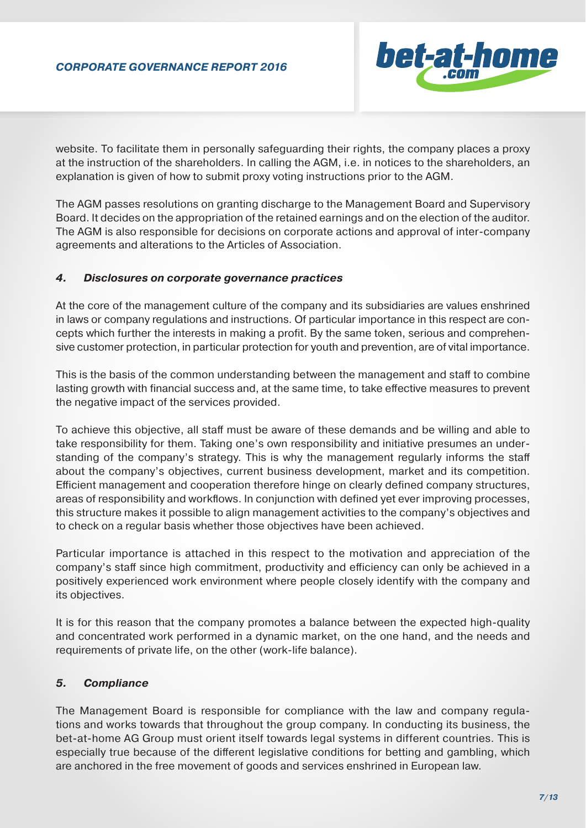

website. To facilitate them in personally safeguarding their rights, the company places a proxy at the instruction of the shareholders. In calling the AGM, i.e. in notices to the shareholders, an explanation is given of how to submit proxy voting instructions prior to the AGM.

The AGM passes resolutions on granting discharge to the Management Board and Supervisory Board. It decides on the appropriation of the retained earnings and on the election of the auditor. The AGM is also responsible for decisions on corporate actions and approval of inter-company agreements and alterations to the Articles of Association.

# *4. Disclosures on corporate governance practices*

At the core of the management culture of the company and its subsidiaries are values enshrined in laws or company regulations and instructions. Of particular importance in this respect are concepts which further the interests in making a profit. By the same token, serious and comprehensive customer protection, in particular protection for youth and prevention, are of vital importance.

This is the basis of the common understanding between the management and staff to combine lasting growth with financial success and, at the same time, to take effective measures to prevent the negative impact of the services provided.

To achieve this objective, all staff must be aware of these demands and be willing and able to take responsibility for them. Taking one's own responsibility and initiative presumes an understanding of the company's strategy. This is why the management regularly informs the staff about the company's objectives, current business development, market and its competition. Efficient management and cooperation therefore hinge on clearly defined company structures, areas of responsibility and workflows. In conjunction with defined yet ever improving processes, this structure makes it possible to align management activities to the company's objectives and to check on a regular basis whether those objectives have been achieved.

Particular importance is attached in this respect to the motivation and appreciation of the company's staff since high commitment, productivity and efficiency can only be achieved in a positively experienced work environment where people closely identify with the company and its objectives.

It is for this reason that the company promotes a balance between the expected high-quality and concentrated work performed in a dynamic market, on the one hand, and the needs and requirements of private life, on the other (work-life balance).

# *5. Compliance*

The Management Board is responsible for compliance with the law and company regulations and works towards that throughout the group company. In conducting its business, the bet-at-home AG Group must orient itself towards legal systems in different countries. This is especially true because of the different legislative conditions for betting and gambling, which are anchored in the free movement of goods and services enshrined in European law.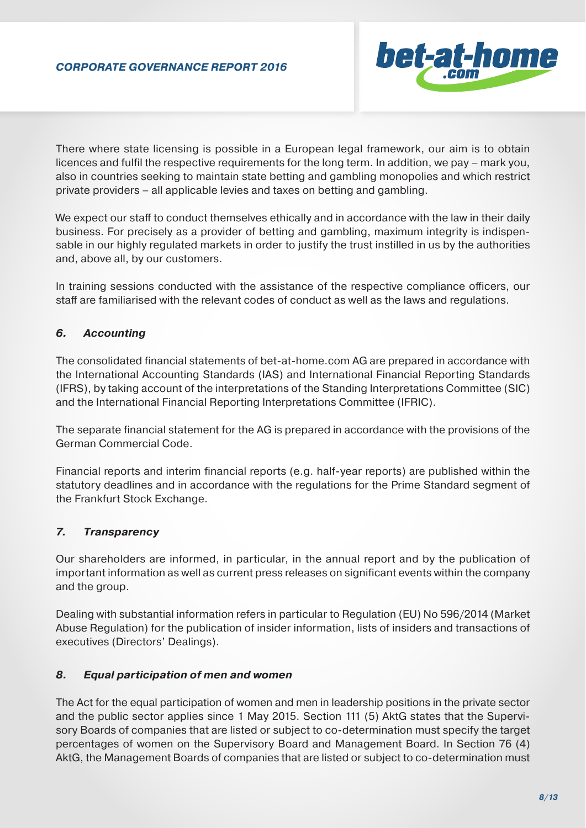

There where state licensing is possible in a European legal framework, our aim is to obtain licences and fulfil the respective requirements for the long term. In addition, we pay – mark you, also in countries seeking to maintain state betting and gambling monopolies and which restrict private providers – all applicable levies and taxes on betting and gambling.

We expect our staff to conduct themselves ethically and in accordance with the law in their daily business. For precisely as a provider of betting and gambling, maximum integrity is indispensable in our highly regulated markets in order to justify the trust instilled in us by the authorities and, above all, by our customers.

In training sessions conducted with the assistance of the respective compliance officers, our staff are familiarised with the relevant codes of conduct as well as the laws and regulations.

# *6. Accounting*

The consolidated financial statements of bet-at-home.com AG are prepared in accordance with the International Accounting Standards (IAS) and International Financial Reporting Standards (IFRS), by taking account of the interpretations of the Standing Interpretations Committee (SIC) and the International Financial Reporting Interpretations Committee (IFRIC).

The separate financial statement for the AG is prepared in accordance with the provisions of the German Commercial Code.

Financial reports and interim financial reports (e.g. half-year reports) are published within the statutory deadlines and in accordance with the regulations for the Prime Standard segment of the Frankfurt Stock Exchange.

# *7. Transparency*

Our shareholders are informed, in particular, in the annual report and by the publication of important information as well as current press releases on significant events within the company and the group.

Dealing with substantial information refers in particular to Regulation (EU) No 596/2014 (Market Abuse Regulation) for the publication of insider information, lists of insiders and transactions of executives (Directors' Dealings).

# *8. Equal participation of men and women*

The Act for the equal participation of women and men in leadership positions in the private sector and the public sector applies since 1 May 2015. Section 111 (5) AktG states that the Supervisory Boards of companies that are listed or subject to co-determination must specify the target percentages of women on the Supervisory Board and Management Board. In Section 76 (4) AktG, the Management Boards of companies that are listed or subject to co-determination must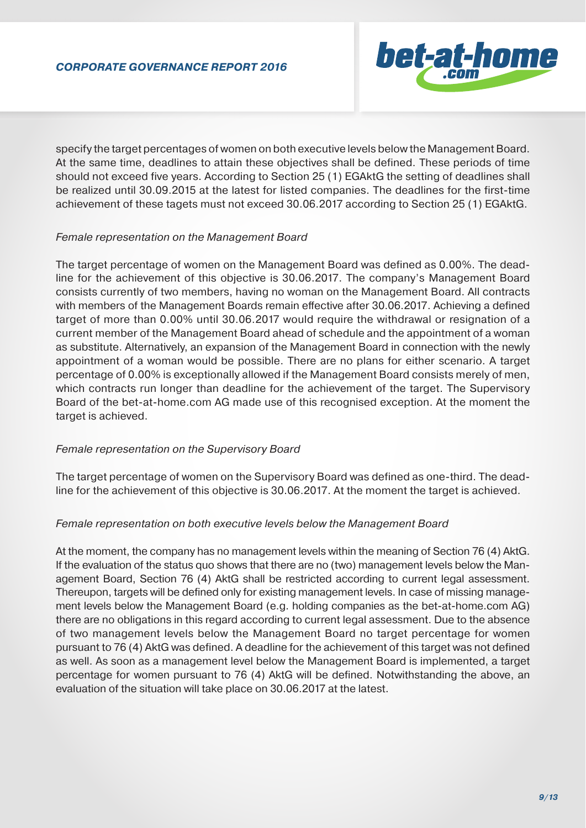

specify the target percentages of women on both executive levels below the Management Board. At the same time, deadlines to attain these objectives shall be defined. These periods of time should not exceed five years. According to Section 25 (1) EGAktG the setting of deadlines shall be realized until 30.09.2015 at the latest for listed companies. The deadlines for the first-time achievement of these tagets must not exceed 30.06.2017 according to Section 25 (1) EGAktG.

#### *Female representation on the Management Board*

The target percentage of women on the Management Board was defined as 0.00%. The deadline for the achievement of this objective is 30.06.2017. The company's Management Board consists currently of two members, having no woman on the Management Board. All contracts with members of the Management Boards remain effective after 30.06.2017. Achieving a defined target of more than 0.00% until 30.06.2017 would require the withdrawal or resignation of a current member of the Management Board ahead of schedule and the appointment of a woman as substitute. Alternatively, an expansion of the Management Board in connection with the newly appointment of a woman would be possible. There are no plans for either scenario. A target percentage of 0.00% is exceptionally allowed if the Management Board consists merely of men, which contracts run longer than deadline for the achievement of the target. The Supervisory Board of the bet-at-home.com AG made use of this recognised exception. At the moment the target is achieved.

# *Female representation on the Supervisory Board*

The target percentage of women on the Supervisory Board was defined as one-third. The deadline for the achievement of this objective is 30.06.2017. At the moment the target is achieved.

# *Female representation on both executive levels below the Management Board*

At the moment, the company has no management levels within the meaning of Section 76 (4) AktG. If the evaluation of the status quo shows that there are no (two) management levels below the Management Board, Section 76 (4) AktG shall be restricted according to current legal assessment. Thereupon, targets will be defined only for existing management levels. In case of missing management levels below the Management Board (e.g. holding companies as the bet-at-home.com AG) there are no obligations in this regard according to current legal assessment. Due to the absence of two management levels below the Management Board no target percentage for women pursuant to 76 (4) AktG was defined. A deadline for the achievement of this target was not defined as well. As soon as a management level below the Management Board is implemented, a target percentage for women pursuant to 76 (4) AktG will be defined. Notwithstanding the above, an evaluation of the situation will take place on 30.06.2017 at the latest.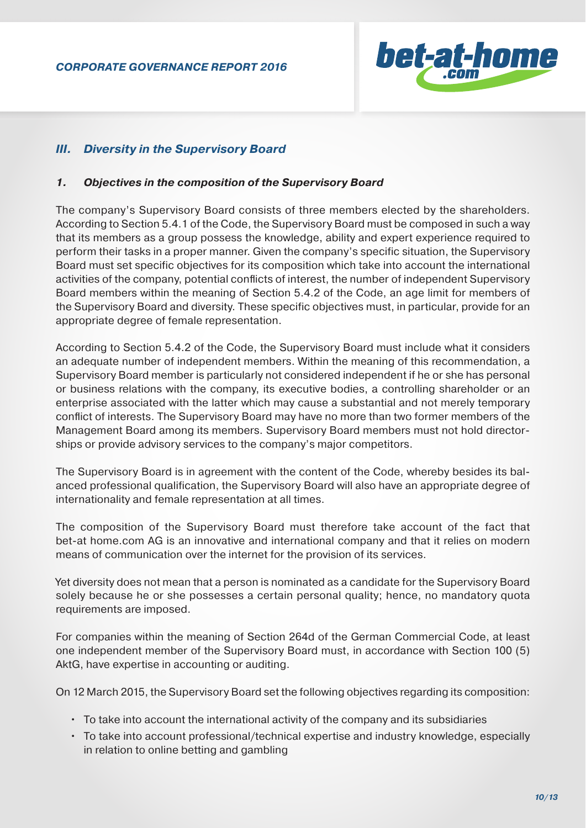

# *III. Diversity in the Supervisory Board*

#### *1. Objectives in the composition of the Supervisory Board*

The company's Supervisory Board consists of three members elected by the shareholders. According to Section 5.4.1 of the Code, the Supervisory Board must be composed in such a way that its members as a group possess the knowledge, ability and expert experience required to perform their tasks in a proper manner. Given the company's specific situation, the Supervisory Board must set specific objectives for its composition which take into account the international activities of the company, potential conflicts of interest, the number of independent Supervisory Board members within the meaning of Section 5.4.2 of the Code, an age limit for members of the Supervisory Board and diversity. These specific objectives must, in particular, provide for an appropriate degree of female representation.

According to Section 5.4.2 of the Code, the Supervisory Board must include what it considers an adequate number of independent members. Within the meaning of this recommendation, a Supervisory Board member is particularly not considered independent if he or she has personal or business relations with the company, its executive bodies, a controlling shareholder or an enterprise associated with the latter which may cause a substantial and not merely temporary conflict of interests. The Supervisory Board may have no more than two former members of the Management Board among its members. Supervisory Board members must not hold directorships or provide advisory services to the company's major competitors.

The Supervisory Board is in agreement with the content of the Code, whereby besides its balanced professional qualification, the Supervisory Board will also have an appropriate degree of internationality and female representation at all times.

The composition of the Supervisory Board must therefore take account of the fact that bet-at home.com AG is an innovative and international company and that it relies on modern means of communication over the internet for the provision of its services.

Yet diversity does not mean that a person is nominated as a candidate for the Supervisory Board solely because he or she possesses a certain personal quality; hence, no mandatory quota requirements are imposed.

For companies within the meaning of Section 264d of the German Commercial Code, at least one independent member of the Supervisory Board must, in accordance with Section 100 (5) AktG, have expertise in accounting or auditing.

On 12 March 2015, the Supervisory Board set the following objectives regarding its composition:

- To take into account the international activity of the company and its subsidiaries
- To take into account professional/technical expertise and industry knowledge, especially in relation to online betting and gambling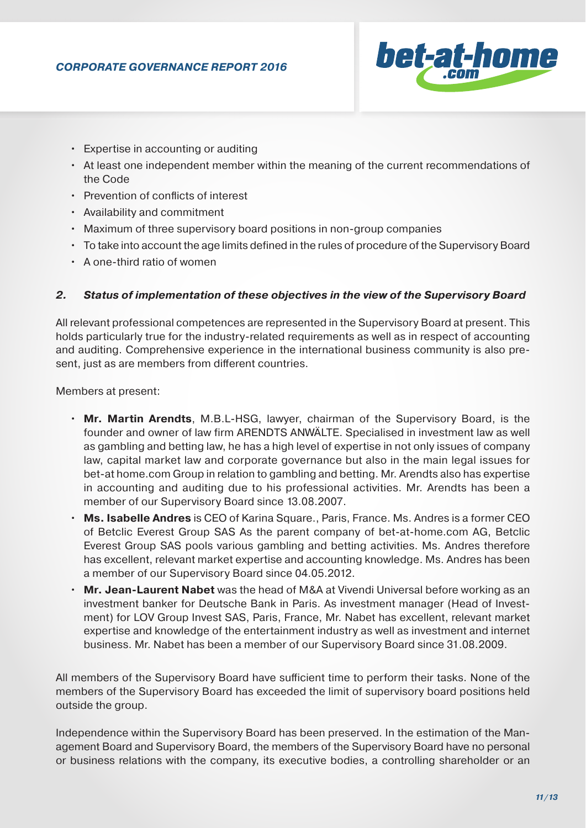

- Expertise in accounting or auditing
- At least one independent member within the meaning of the current recommendations of the Code
- Prevention of conflicts of interest
- Availability and commitment
- Maximum of three supervisory board positions in non-group companies
- To take into account the age limits defined in the rules of procedure of the Supervisory Board
- A one-third ratio of women

# *2. Status of implementation of these objectives in the view of the Supervisory Board*

All relevant professional competences are represented in the Supervisory Board at present. This holds particularly true for the industry-related requirements as well as in respect of accounting and auditing. Comprehensive experience in the international business community is also present, just as are members from different countries.

Members at present:

- **Mr. Martin Arendts**, M.B.L-HSG, lawyer, chairman of the Supervisory Board, is the founder and owner of law firm ARENDTS ANWÄLTE. Specialised in investment law as well as gambling and betting law, he has a high level of expertise in not only issues of company law, capital market law and corporate governance but also in the main legal issues for bet-at home.com Group in relation to gambling and betting. Mr. Arendts also has expertise in accounting and auditing due to his professional activities. Mr. Arendts has been a member of our Supervisory Board since 13.08.2007.
- **Ms. Isabelle Andres** is CEO of Karina Square., Paris, France. Ms. Andres is a former CEO of Betclic Everest Group SAS As the parent company of bet-at-home.com AG, Betclic Everest Group SAS pools various gambling and betting activities. Ms. Andres therefore has excellent, relevant market expertise and accounting knowledge. Ms. Andres has been a member of our Supervisory Board since 04.05.2012.
- **Mr. Jean-Laurent Nabet** was the head of M&A at Vivendi Universal before working as an investment banker for Deutsche Bank in Paris. As investment manager (Head of Invest ment) for LOV Group Invest SAS, Paris, France, Mr. Nabet has excellent, relevant market expertise and knowledge of the entertainment industry as well as investment and internet business. Mr. Nabet has been a member of our Supervisory Board since 31.08.2009.

All members of the Supervisory Board have sufficient time to perform their tasks. None of the members of the Supervisory Board has exceeded the limit of supervisory board positions held outside the group.

Independence within the Supervisory Board has been preserved. In the estimation of the Management Board and Supervisory Board, the members of the Supervisory Board have no personal or business relations with the company, its executive bodies, a controlling shareholder or an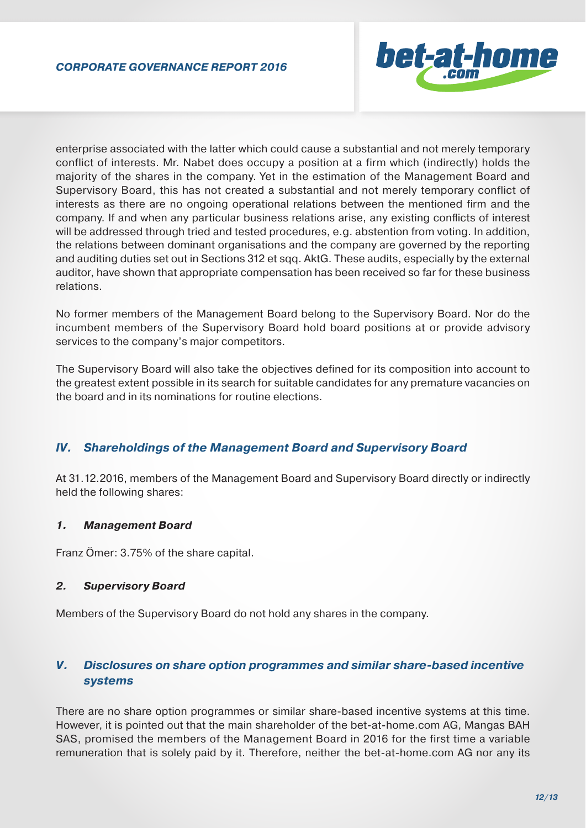

enterprise associated with the latter which could cause a substantial and not merely temporary conflict of interests. Mr. Nabet does occupy a position at a firm which (indirectly) holds the majority of the shares in the company. Yet in the estimation of the Management Board and Supervisory Board, this has not created a substantial and not merely temporary conflict of interests as there are no ongoing operational relations between the mentioned firm and the company. If and when any particular business relations arise, any existing conflicts of interest will be addressed through tried and tested procedures, e.g. abstention from voting. In addition, the relations between dominant organisations and the company are governed by the reporting and auditing duties set out in Sections 312 et sqq. AktG. These audits, especially by the external auditor, have shown that appropriate compensation has been received so far for these business relations.

No former members of the Management Board belong to the Supervisory Board. Nor do the incumbent members of the Supervisory Board hold board positions at or provide advisory services to the company's major competitors.

The Supervisory Board will also take the objectives defined for its composition into account to the greatest extent possible in its search for suitable candidates for any premature vacancies on the board and in its nominations for routine elections.

# *IV. Shareholdings of the Management Board and Supervisory Board*

At 31.12.2016, members of the Management Board and Supervisory Board directly or indirectly held the following shares:

# *1. Management Board*

Franz Ömer: 3.75% of the share capital.

# *2. Supervisory Board*

Members of the Supervisory Board do not hold any shares in the company.

# *V. Disclosures on share option programmes and similar share-based incentive systems*

There are no share option programmes or similar share-based incentive systems at this time. However, it is pointed out that the main shareholder of the bet-at-home.com AG, Mangas BAH SAS, promised the members of the Management Board in 2016 for the first time a variable remuneration that is solely paid by it. Therefore, neither the bet-at-home.com AG nor any its